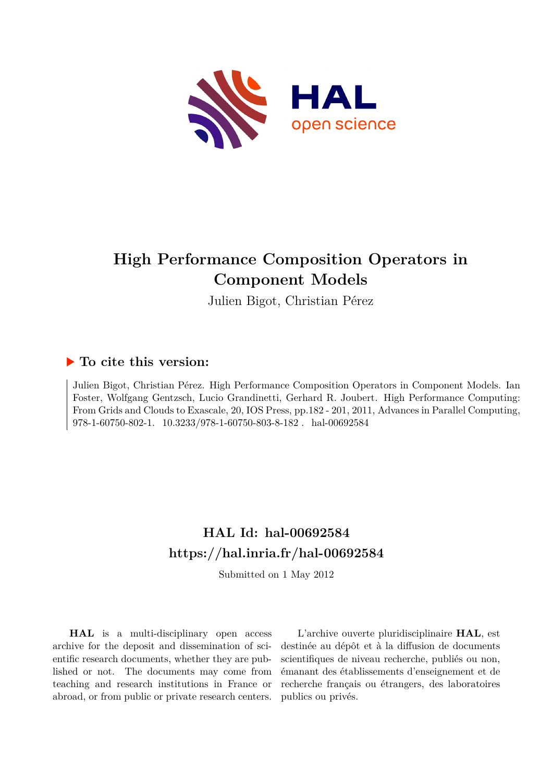

## **High Performance Composition Operators in Component Models**

Julien Bigot, Christian Pérez

## **To cite this version:**

Julien Bigot, Christian Pérez. High Performance Composition Operators in Component Models. Ian Foster, Wolfgang Gentzsch, Lucio Grandinetti, Gerhard R. Joubert. High Performance Computing: From Grids and Clouds to Exascale, 20, IOS Press, pp.182 - 201, 2011, Advances in Parallel Computing, 978-1-60750-802-1.  $10.3233/978$ -1-60750-803-8-182 $\ldots$ hal-00692584

## **HAL Id: hal-00692584 <https://hal.inria.fr/hal-00692584>**

Submitted on 1 May 2012

**HAL** is a multi-disciplinary open access archive for the deposit and dissemination of scientific research documents, whether they are published or not. The documents may come from teaching and research institutions in France or abroad, or from public or private research centers.

L'archive ouverte pluridisciplinaire **HAL**, est destinée au dépôt et à la diffusion de documents scientifiques de niveau recherche, publiés ou non, émanant des établissements d'enseignement et de recherche français ou étrangers, des laboratoires publics ou privés.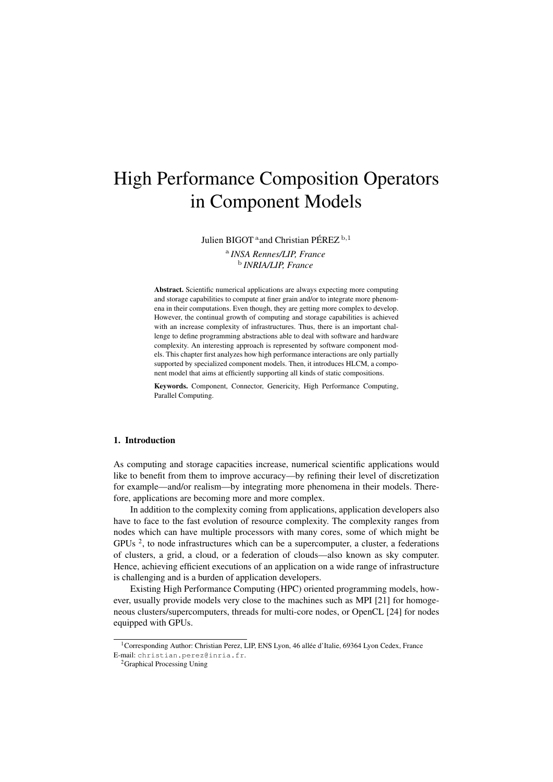# High Performance Composition Operators in Component Models

Julien BIGOT <sup>a</sup> and Christian PÉREZ<sup>b,1</sup>

a *INSA Rennes/LIP, France* b *INRIA/LIP, France*

Abstract. Scientific numerical applications are always expecting more computing and storage capabilities to compute at finer grain and/or to integrate more phenomena in their computations. Even though, they are getting more complex to develop. However, the continual growth of computing and storage capabilities is achieved with an increase complexity of infrastructures. Thus, there is an important challenge to define programming abstractions able to deal with software and hardware complexity. An interesting approach is represented by software component models. This chapter first analyzes how high performance interactions are only partially supported by specialized component models. Then, it introduces HLCM, a component model that aims at efficiently supporting all kinds of static compositions.

Keywords. Component, Connector, Genericity, High Performance Computing, Parallel Computing.

## 1. Introduction

As computing and storage capacities increase, numerical scientific applications would like to benefit from them to improve accuracy—by refining their level of discretization for example—and/or realism—by integrating more phenomena in their models. Therefore, applications are becoming more and more complex.

In addition to the complexity coming from applications, application developers also have to face to the fast evolution of resource complexity. The complexity ranges from nodes which can have multiple processors with many cores, some of which might be GPUs<sup>2</sup>, to node infrastructures which can be a supercomputer, a cluster, a federations of clusters, a grid, a cloud, or a federation of clouds—also known as sky computer. Hence, achieving efficient executions of an application on a wide range of infrastructure is challenging and is a burden of application developers.

Existing High Performance Computing (HPC) oriented programming models, however, usually provide models very close to the machines such as MPI [21] for homogeneous clusters/supercomputers, threads for multi-core nodes, or OpenCL [24] for nodes equipped with GPUs.

<sup>&</sup>lt;sup>1</sup>Corresponding Author: Christian Perez, LIP, ENS Lyon, 46 allée d'Italie, 69364 Lyon Cedex, France E-mail: christian.perez@inria.fr.

<sup>2</sup>Graphical Processing Uning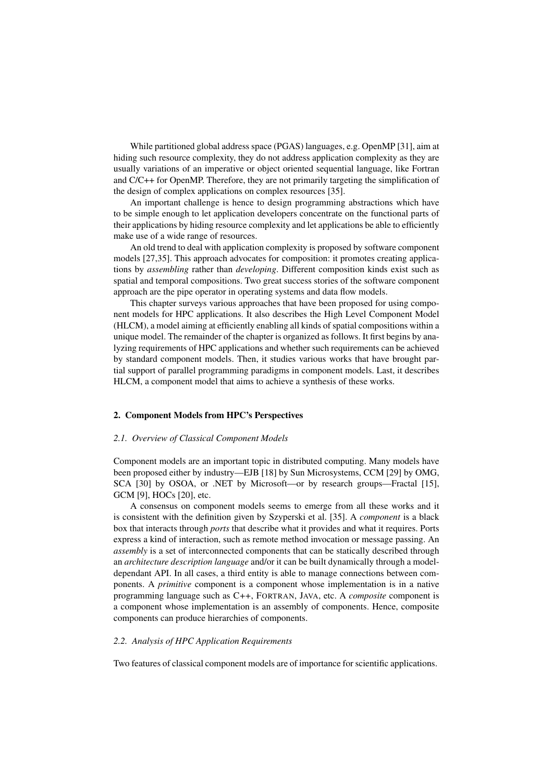While partitioned global address space (PGAS) languages, e.g. OpenMP [31], aim at hiding such resource complexity, they do not address application complexity as they are usually variations of an imperative or object oriented sequential language, like Fortran and C/C++ for OpenMP. Therefore, they are not primarily targeting the simplification of the design of complex applications on complex resources [35].

An important challenge is hence to design programming abstractions which have to be simple enough to let application developers concentrate on the functional parts of their applications by hiding resource complexity and let applications be able to efficiently make use of a wide range of resources.

An old trend to deal with application complexity is proposed by software component models [27,35]. This approach advocates for composition: it promotes creating applications by *assembling* rather than *developing*. Different composition kinds exist such as spatial and temporal compositions. Two great success stories of the software component approach are the pipe operator in operating systems and data flow models.

This chapter surveys various approaches that have been proposed for using component models for HPC applications. It also describes the High Level Component Model (HLCM), a model aiming at efficiently enabling all kinds of spatial compositions within a unique model. The remainder of the chapter is organized as follows. It first begins by analyzing requirements of HPC applications and whether such requirements can be achieved by standard component models. Then, it studies various works that have brought partial support of parallel programming paradigms in component models. Last, it describes HLCM, a component model that aims to achieve a synthesis of these works.

#### 2. Component Models from HPC's Perspectives

### *2.1. Overview of Classical Component Models*

Component models are an important topic in distributed computing. Many models have been proposed either by industry—EJB [18] by Sun Microsystems, CCM [29] by OMG, SCA [30] by OSOA, or .NET by Microsoft—or by research groups—Fractal [15], GCM [9], HOCs [20], etc.

A consensus on component models seems to emerge from all these works and it is consistent with the definition given by Szyperski et al. [35]. A *component* is a black box that interacts through *ports* that describe what it provides and what it requires. Ports express a kind of interaction, such as remote method invocation or message passing. An *assembly* is a set of interconnected components that can be statically described through an *architecture description language* and/or it can be built dynamically through a modeldependant API. In all cases, a third entity is able to manage connections between components. A *primitive* component is a component whose implementation is in a native programming language such as C++, FORTRAN, JAVA, etc. A *composite* component is a component whose implementation is an assembly of components. Hence, composite components can produce hierarchies of components.

## *2.2. Analysis of HPC Application Requirements*

Two features of classical component models are of importance for scientific applications.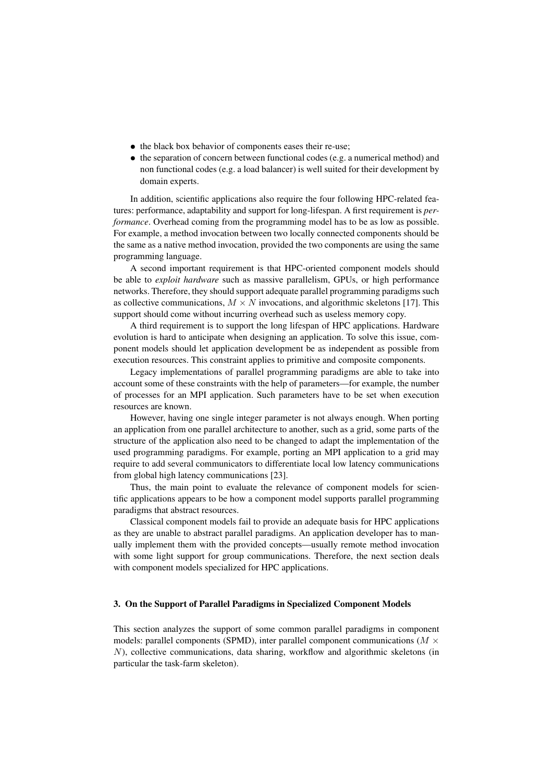- the black box behavior of components eases their re-use;
- the separation of concern between functional codes (e.g. a numerical method) and non functional codes (e.g. a load balancer) is well suited for their development by domain experts.

In addition, scientific applications also require the four following HPC-related features: performance, adaptability and support for long-lifespan. A first requirement is *performance*. Overhead coming from the programming model has to be as low as possible. For example, a method invocation between two locally connected components should be the same as a native method invocation, provided the two components are using the same programming language.

A second important requirement is that HPC-oriented component models should be able to *exploit hardware* such as massive parallelism, GPUs, or high performance networks. Therefore, they should support adequate parallel programming paradigms such as collective communications,  $M \times N$  invocations, and algorithmic skeletons [17]. This support should come without incurring overhead such as useless memory copy.

A third requirement is to support the long lifespan of HPC applications. Hardware evolution is hard to anticipate when designing an application. To solve this issue, component models should let application development be as independent as possible from execution resources. This constraint applies to primitive and composite components.

Legacy implementations of parallel programming paradigms are able to take into account some of these constraints with the help of parameters—for example, the number of processes for an MPI application. Such parameters have to be set when execution resources are known.

However, having one single integer parameter is not always enough. When porting an application from one parallel architecture to another, such as a grid, some parts of the structure of the application also need to be changed to adapt the implementation of the used programming paradigms. For example, porting an MPI application to a grid may require to add several communicators to differentiate local low latency communications from global high latency communications [23].

Thus, the main point to evaluate the relevance of component models for scientific applications appears to be how a component model supports parallel programming paradigms that abstract resources.

Classical component models fail to provide an adequate basis for HPC applications as they are unable to abstract parallel paradigms. An application developer has to manually implement them with the provided concepts—usually remote method invocation with some light support for group communications. Therefore, the next section deals with component models specialized for HPC applications.

## 3. On the Support of Parallel Paradigms in Specialized Component Models

This section analyzes the support of some common parallel paradigms in component models: parallel components (SPMD), inter parallel component communications ( $M \times$ N), collective communications, data sharing, workflow and algorithmic skeletons (in particular the task-farm skeleton).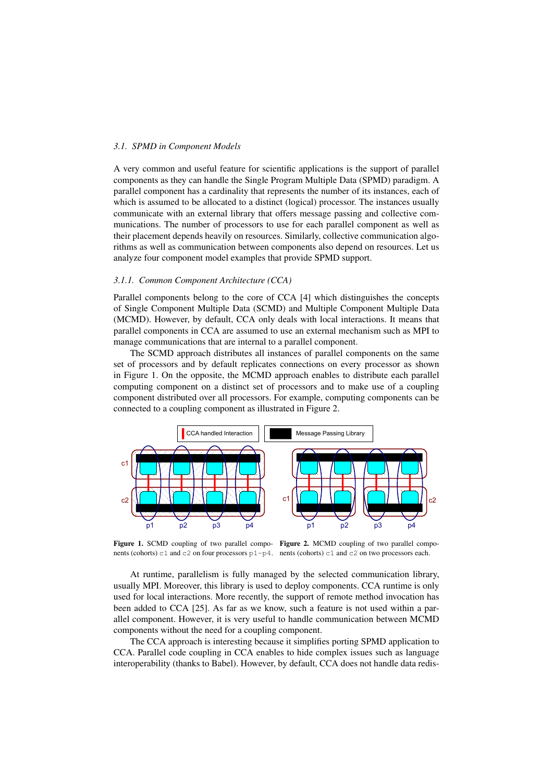## *3.1. SPMD in Component Models*

A very common and useful feature for scientific applications is the support of parallel components as they can handle the Single Program Multiple Data (SPMD) paradigm. A parallel component has a cardinality that represents the number of its instances, each of which is assumed to be allocated to a distinct (logical) processor. The instances usually communicate with an external library that offers message passing and collective communications. The number of processors to use for each parallel component as well as their placement depends heavily on resources. Similarly, collective communication algorithms as well as communication between components also depend on resources. Let us analyze four component model examples that provide SPMD support.

### *3.1.1. Common Component Architecture (CCA)*

Parallel components belong to the core of CCA [4] which distinguishes the concepts of Single Component Multiple Data (SCMD) and Multiple Component Multiple Data (MCMD). However, by default, CCA only deals with local interactions. It means that parallel components in CCA are assumed to use an external mechanism such as MPI to manage communications that are internal to a parallel component.

The SCMD approach distributes all instances of parallel components on the same set of processors and by default replicates connections on every processor as shown in Figure 1. On the opposite, the MCMD approach enables to distribute each parallel computing component on a distinct set of processors and to make use of a coupling component distributed over all processors. For example, computing components can be connected to a coupling component as illustrated in Figure 2.



Figure 1. SCMD coupling of two parallel compo- Figure 2. MCMD coupling of two parallel components (cohorts) c1 and c2 on four processors p1-p4. nents (cohorts) c1 and c2 on two processors each.

At runtime, parallelism is fully managed by the selected communication library, usually MPI. Moreover, this library is used to deploy components. CCA runtime is only used for local interactions. More recently, the support of remote method invocation has been added to CCA [25]. As far as we know, such a feature is not used within a parallel component. However, it is very useful to handle communication between MCMD components without the need for a coupling component.

The CCA approach is interesting because it simplifies porting SPMD application to CCA. Parallel code coupling in CCA enables to hide complex issues such as language interoperability (thanks to Babel). However, by default, CCA does not handle data redis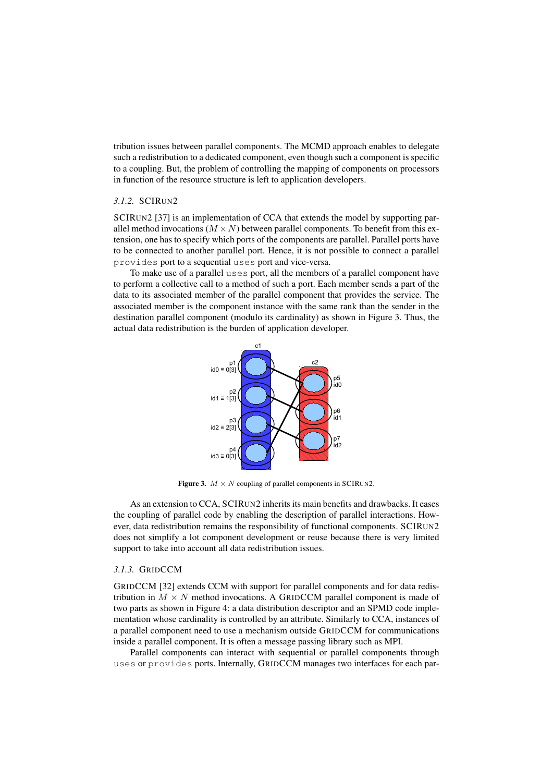tribution issues between parallel components. The MCMD approach enables to delegate such a redistribution to a dedicated component, even though such a component is specific to a coupling. But, the problem of controlling the mapping of components on processors in function of the resource structure is left to application developers.

## *3.1.2.* SCIRUN2

SCIRUN2 [37] is an implementation of CCA that extends the model by supporting parallel method invocations  $(M \times N)$  between parallel components. To benefit from this extension, one has to specify which ports of the components are parallel. Parallel ports have to be connected to another parallel port. Hence, it is not possible to connect a parallel provides port to a sequential uses port and vice-versa.

To make use of a parallel uses port, all the members of a parallel component have to perform a collective call to a method of such a port. Each member sends a part of the data to its associated member of the parallel component that provides the service. The associated member is the component instance with the same rank than the sender in the destination parallel component (modulo its cardinality) as shown in Figure 3. Thus, the actual data redistribution is the burden of application developer.



Figure 3.  $M \times N$  coupling of parallel components in SCIRUN2.

As an extension to CCA, SCIRUN2 inherits its main benefits and drawbacks. It eases the coupling of parallel code by enabling the description of parallel interactions. However, data redistribution remains the responsibility of functional components. SCIRUN2 does not simplify a lot component development or reuse because there is very limited support to take into account all data redistribution issues.

## *3.1.3.* GRIDCCM

GRIDCCM [32] extends CCM with support for parallel components and for data redistribution in  $M \times N$  method invocations. A GRIDCCM parallel component is made of two parts as shown in Figure 4: a data distribution descriptor and an SPMD code implementation whose cardinality is controlled by an attribute. Similarly to CCA, instances of a parallel component need to use a mechanism outside GRIDCCM for communications inside a parallel component. It is often a message passing library such as MPI.

Parallel components can interact with sequential or parallel components through uses or provides ports. Internally, GRIDCCM manages two interfaces for each par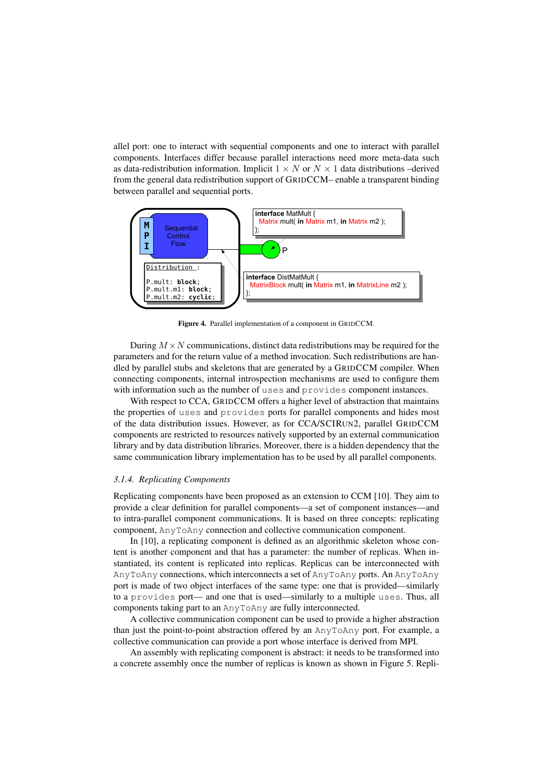allel port: one to interact with sequential components and one to interact with parallel components. Interfaces differ because parallel interactions need more meta-data such as data-redistribution information. Implicit  $1 \times N$  or  $N \times 1$  data distributions –derived from the general data redistribution support of GRIDCCM– enable a transparent binding between parallel and sequential ports.



Figure 4. Parallel implementation of a component in GRIDCCM.

During  $M \times N$  communications, distinct data redistributions may be required for the parameters and for the return value of a method invocation. Such redistributions are handled by parallel stubs and skeletons that are generated by a GRIDCCM compiler. When connecting components, internal introspection mechanisms are used to configure them with information such as the number of uses and provides component instances.

With respect to CCA, GRIDCCM offers a higher level of abstraction that maintains the properties of uses and provides ports for parallel components and hides most of the data distribution issues. However, as for CCA/SCIRUN2, parallel GRIDCCM components are restricted to resources natively supported by an external communication library and by data distribution libraries. Moreover, there is a hidden dependency that the same communication library implementation has to be used by all parallel components.

#### *3.1.4. Replicating Components*

Replicating components have been proposed as an extension to CCM [10]. They aim to provide a clear definition for parallel components—a set of component instances—and to intra-parallel component communications. It is based on three concepts: replicating component, AnyToAny connection and collective communication component.

In [10], a replicating component is defined as an algorithmic skeleton whose content is another component and that has a parameter: the number of replicas. When instantiated, its content is replicated into replicas. Replicas can be interconnected with AnyToAny connections, which interconnects a set of AnyToAny ports. An AnyToAny port is made of two object interfaces of the same type: one that is provided—similarly to a provides port— and one that is used—similarly to a multiple uses. Thus, all components taking part to an AnyToAny are fully interconnected.

A collective communication component can be used to provide a higher abstraction than just the point-to-point abstraction offered by an AnyToAny port. For example, a collective communication can provide a port whose interface is derived from MPI.

An assembly with replicating component is abstract: it needs to be transformed into a concrete assembly once the number of replicas is known as shown in Figure 5. Repli-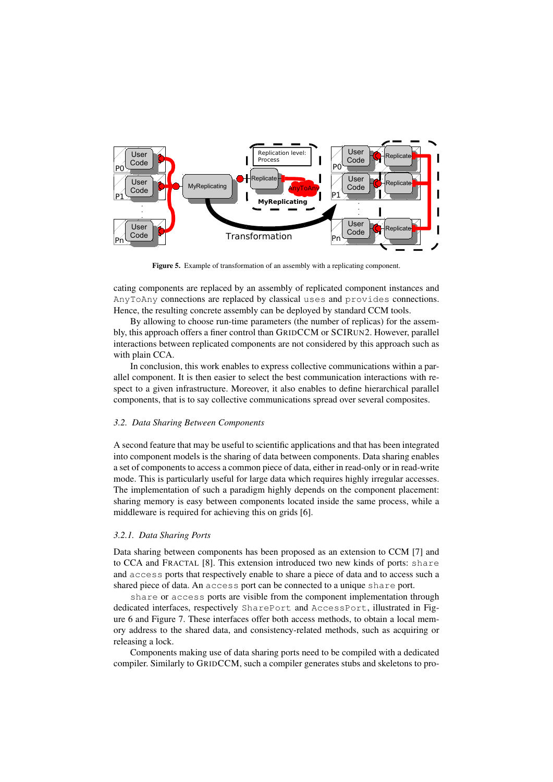

Figure 5. Example of transformation of an assembly with a replicating component.

cating components are replaced by an assembly of replicated component instances and AnyToAny connections are replaced by classical uses and provides connections. Hence, the resulting concrete assembly can be deployed by standard CCM tools.

By allowing to choose run-time parameters (the number of replicas) for the assembly, this approach offers a finer control than GRIDCCM or SCIRUN2. However, parallel interactions between replicated components are not considered by this approach such as with plain CCA.

In conclusion, this work enables to express collective communications within a parallel component. It is then easier to select the best communication interactions with respect to a given infrastructure. Moreover, it also enables to define hierarchical parallel components, that is to say collective communications spread over several composites.

## *3.2. Data Sharing Between Components*

A second feature that may be useful to scientific applications and that has been integrated into component models is the sharing of data between components. Data sharing enables a set of components to access a common piece of data, either in read-only or in read-write mode. This is particularly useful for large data which requires highly irregular accesses. The implementation of such a paradigm highly depends on the component placement: sharing memory is easy between components located inside the same process, while a middleware is required for achieving this on grids [6].

## *3.2.1. Data Sharing Ports*

Data sharing between components has been proposed as an extension to CCM [7] and to CCA and FRACTAL [8]. This extension introduced two new kinds of ports: share and access ports that respectively enable to share a piece of data and to access such a shared piece of data. An access port can be connected to a unique share port.

share or access ports are visible from the component implementation through dedicated interfaces, respectively SharePort and AccessPort, illustrated in Figure 6 and Figure 7. These interfaces offer both access methods, to obtain a local memory address to the shared data, and consistency-related methods, such as acquiring or releasing a lock.

Components making use of data sharing ports need to be compiled with a dedicated compiler. Similarly to GRIDCCM, such a compiler generates stubs and skeletons to pro-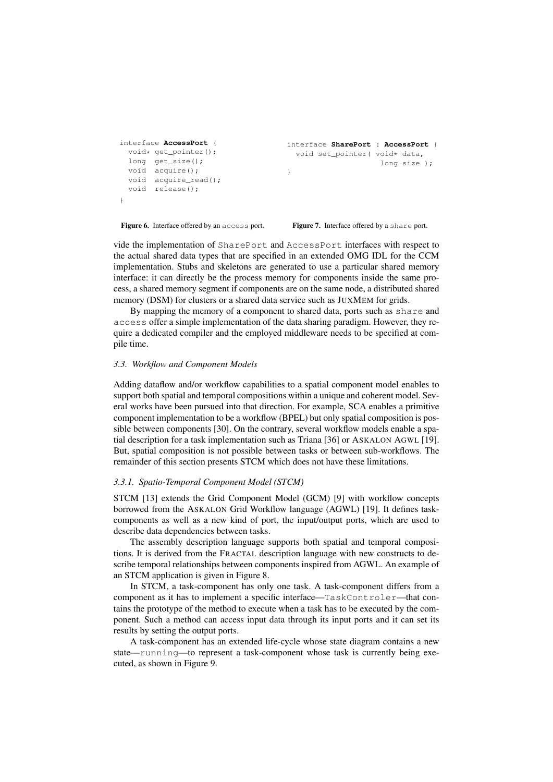```
interface AccessPort {
 void* qet_pointer();
 long get_size();
 void acquire();
 void acquire read();
 void release();
}
                                     interface SharePort : AccessPort {
                                     void set_pointer( void* data,
                                                         long size );
                                     }
```
Figure 6. Interface offered by an access port.

Figure 7. Interface offered by a share port.

vide the implementation of SharePort and AccessPort interfaces with respect to the actual shared data types that are specified in an extended OMG IDL for the CCM implementation. Stubs and skeletons are generated to use a particular shared memory interface: it can directly be the process memory for components inside the same process, a shared memory segment if components are on the same node, a distributed shared memory (DSM) for clusters or a shared data service such as JUXMEM for grids.

By mapping the memory of a component to shared data, ports such as share and access offer a simple implementation of the data sharing paradigm. However, they require a dedicated compiler and the employed middleware needs to be specified at compile time.

### *3.3. Workflow and Component Models*

Adding dataflow and/or workflow capabilities to a spatial component model enables to support both spatial and temporal compositions within a unique and coherent model. Several works have been pursued into that direction. For example, SCA enables a primitive component implementation to be a workflow (BPEL) but only spatial composition is possible between components [30]. On the contrary, several workflow models enable a spatial description for a task implementation such as Triana [36] or ASKALON AGWL [19]. But, spatial composition is not possible between tasks or between sub-workflows. The remainder of this section presents STCM which does not have these limitations.

## *3.3.1. Spatio-Temporal Component Model (STCM)*

STCM [13] extends the Grid Component Model (GCM) [9] with workflow concepts borrowed from the ASKALON Grid Workflow language (AGWL) [19]. It defines taskcomponents as well as a new kind of port, the input/output ports, which are used to describe data dependencies between tasks.

The assembly description language supports both spatial and temporal compositions. It is derived from the FRACTAL description language with new constructs to describe temporal relationships between components inspired from AGWL. An example of an STCM application is given in Figure 8.

In STCM, a task-component has only one task. A task-component differs from a component as it has to implement a specific interface—TaskControler—that contains the prototype of the method to execute when a task has to be executed by the component. Such a method can access input data through its input ports and it can set its results by setting the output ports.

A task-component has an extended life-cycle whose state diagram contains a new state—running—to represent a task-component whose task is currently being executed, as shown in Figure 9.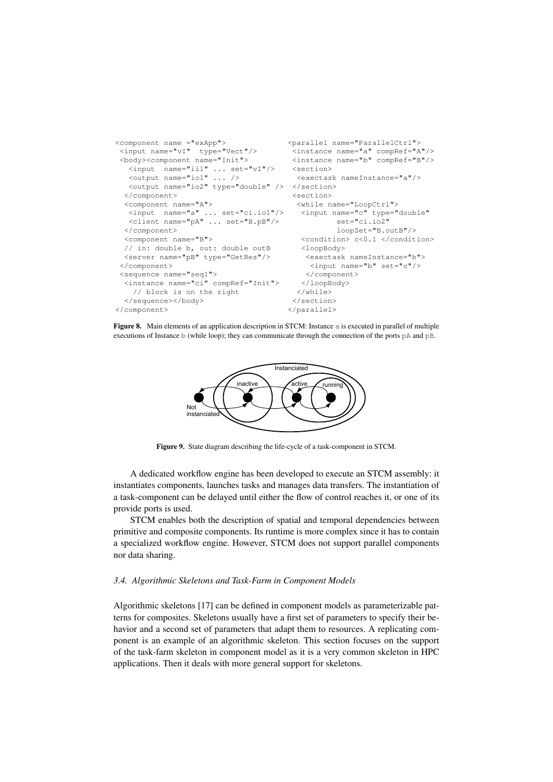```
<component name ="exApp">
 <input name="vI" type="Vect"/>
<body><component name="Init">
  <input name="ii1" ... set="vI"/>
  <output name="io1" ... />
   <output name="io2" type="double" />
</section>
 </component>
 <component name="A">
  <input name="a" ... set="ci.io1"/>
  <client name="pA" ... set="B.pB"/>
 </component>
  <component name="B">
 // in: double b, out: double outB
 <server name="pB" type="GetRes"/>
 </component>
 <sequence name="seq1">
  <instance name="ci" compRef="Init">
   // block is on the right
  </sequence></body>
</component>
                                     <parallel name="ParallelCtrl">
                                        <instance name="a" compRef="A"/>
                                        <instance name="b" compRef="B"/>
                                      <section>
                                        <exectask nameInstance="a"/>
                                       <section>
                                        <while name="LoopCtrl">
                                         <input name="c" type="double"
                                                 set="ci.io2"
                                                 loopSet="B.outB"/>
                                         <condition> c<0.1 </condition>
                                        <loopBody>
                                         <exectask nameInstance="b">
                                           <input name="b" set="c"/>
                                          </component>
                                         </loopBody>
                                        </while>
                                       </section>
                                      </parallel>
```
Figure 8. Main elements of an application description in STCM: Instance a is executed in parallel of multiple executions of Instance b (while loop); they can communicate through the connection of the ports pA and pB.



Figure 9. State diagram describing the life-cycle of a task-component in STCM.

A dedicated workflow engine has been developed to execute an STCM assembly: it instantiates components, launches tasks and manages data transfers. The instantiation of a task-component can be delayed until either the flow of control reaches it, or one of its provide ports is used.

STCM enables both the description of spatial and temporal dependencies between primitive and composite components. Its runtime is more complex since it has to contain a specialized workflow engine. However, STCM does not support parallel components nor data sharing.

#### *3.4. Algorithmic Skeletons and Task-Farm in Component Models*

Algorithmic skeletons [17] can be defined in component models as parameterizable patterns for composites. Skeletons usually have a first set of parameters to specify their behavior and a second set of parameters that adapt them to resources. A replicating component is an example of an algorithmic skeleton. This section focuses on the support of the task-farm skeleton in component model as it is a very common skeleton in HPC applications. Then it deals with more general support for skeletons.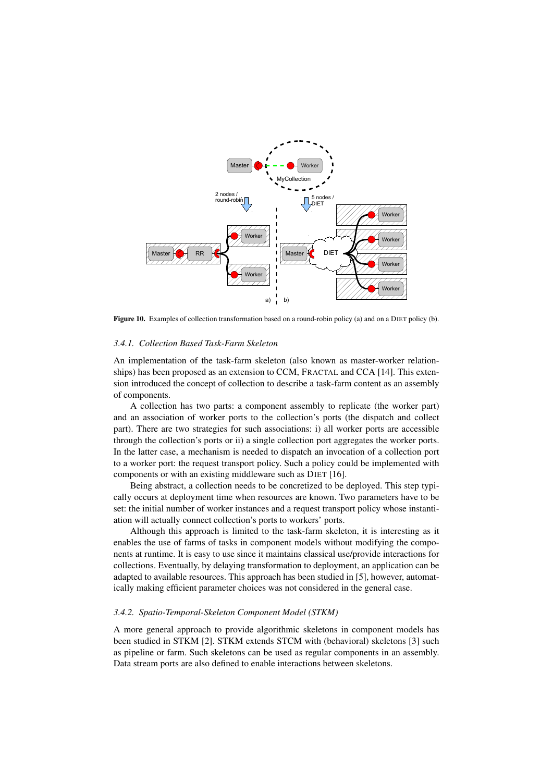

Figure 10. Examples of collection transformation based on a round-robin policy (a) and on a DIET policy (b).

### *3.4.1. Collection Based Task-Farm Skeleton*

An implementation of the task-farm skeleton (also known as master-worker relationships) has been proposed as an extension to CCM, FRACTAL and CCA [14]. This extension introduced the concept of collection to describe a task-farm content as an assembly of components.

A collection has two parts: a component assembly to replicate (the worker part) and an association of worker ports to the collection's ports (the dispatch and collect part). There are two strategies for such associations: i) all worker ports are accessible through the collection's ports or ii) a single collection port aggregates the worker ports. In the latter case, a mechanism is needed to dispatch an invocation of a collection port to a worker port: the request transport policy. Such a policy could be implemented with components or with an existing middleware such as DIET [16].

Being abstract, a collection needs to be concretized to be deployed. This step typically occurs at deployment time when resources are known. Two parameters have to be set: the initial number of worker instances and a request transport policy whose instantiation will actually connect collection's ports to workers' ports.

Although this approach is limited to the task-farm skeleton, it is interesting as it enables the use of farms of tasks in component models without modifying the components at runtime. It is easy to use since it maintains classical use/provide interactions for collections. Eventually, by delaying transformation to deployment, an application can be adapted to available resources. This approach has been studied in [5], however, automatically making efficient parameter choices was not considered in the general case.

#### *3.4.2. Spatio-Temporal-Skeleton Component Model (STKM)*

A more general approach to provide algorithmic skeletons in component models has been studied in STKM [2]. STKM extends STCM with (behavioral) skeletons [3] such as pipeline or farm. Such skeletons can be used as regular components in an assembly. Data stream ports are also defined to enable interactions between skeletons.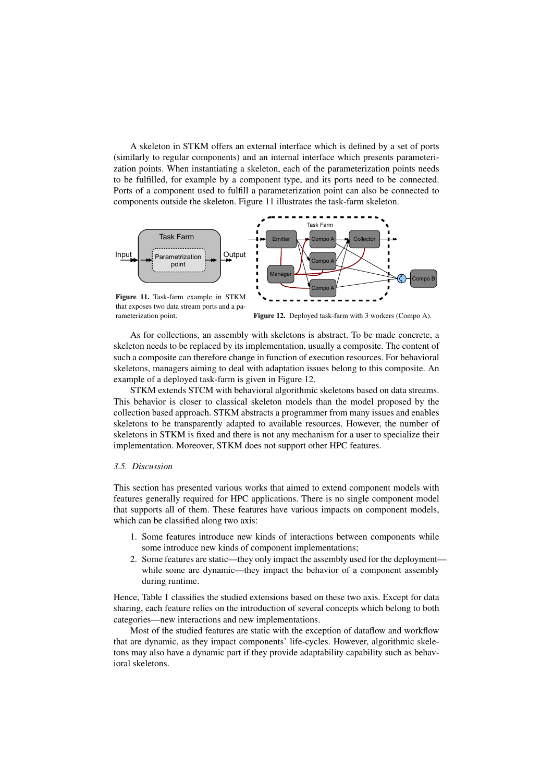A skeleton in STKM offers an external interface which is defined by a set of ports (similarly to regular components) and an internal interface which presents parameterization points. When instantiating a skeleton, each of the parameterization points needs to be fulfilled, for example by a component type, and its ports need to be connected. Ports of a component used to fulfill a parameterization point can also be connected to components outside the skeleton. Figure 11 illustrates the task-farm skeleton.



that exposes two data stream ports and a parameterization point.

Figure 12. Deployed task-farm with 3 workers (Compo A).

As for collections, an assembly with skeletons is abstract. To be made concrete, a skeleton needs to be replaced by its implementation, usually a composite. The content of such a composite can therefore change in function of execution resources. For behavioral skeletons, managers aiming to deal with adaptation issues belong to this composite. An example of a deployed task-farm is given in Figure 12.

STKM extends STCM with behavioral algorithmic skeletons based on data streams. This behavior is closer to classical skeleton models than the model proposed by the collection based approach. STKM abstracts a programmer from many issues and enables skeletons to be transparently adapted to available resources. However, the number of skeletons in STKM is fixed and there is not any mechanism for a user to specialize their implementation. Moreover, STKM does not support other HPC features.

#### *3.5. Discussion*

This section has presented various works that aimed to extend component models with features generally required for HPC applications. There is no single component model that supports all of them. These features have various impacts on component models, which can be classified along two axis:

- 1. Some features introduce new kinds of interactions between components while some introduce new kinds of component implementations;
- 2. Some features are static—they only impact the assembly used for the deployment while some are dynamic—they impact the behavior of a component assembly during runtime.

Hence, Table 1 classifies the studied extensions based on these two axis. Except for data sharing, each feature relies on the introduction of several concepts which belong to both categories—new interactions and new implementations.

Most of the studied features are static with the exception of dataflow and workflow that are dynamic, as they impact components' life-cycles. However, algorithmic skeletons may also have a dynamic part if they provide adaptability capability such as behavioral skeletons.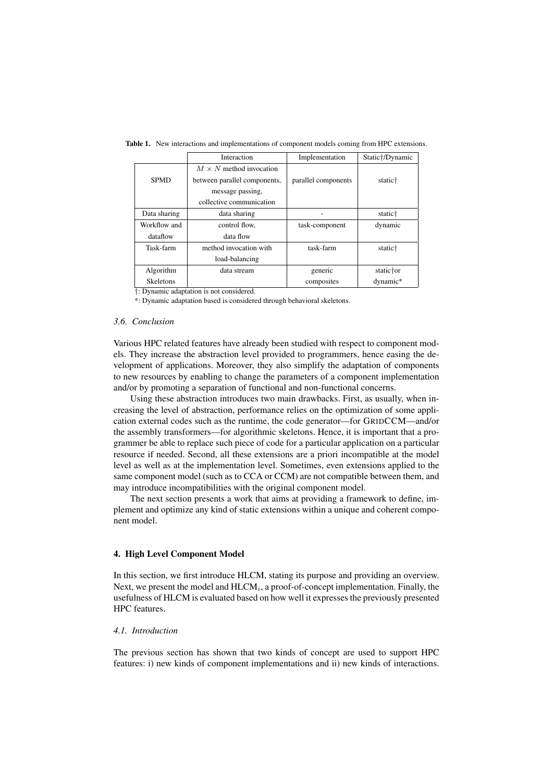|                  | Interaction                    | Implementation      | Static†/Dynamic     |
|------------------|--------------------------------|---------------------|---------------------|
|                  | $M \times N$ method invocation |                     |                     |
| <b>SPMD</b>      | between parallel components,   | parallel components | static <sup>+</sup> |
|                  | message passing,               |                     |                     |
|                  | collective communication       |                     |                     |
| Data sharing     | data sharing                   |                     | static <sup>†</sup> |
| Workflow and     | control flow.                  | task-component      | dynamic             |
| dataflow         | data flow                      |                     |                     |
| Task-farm        | method invocation with         | task-farm           | static <sup>+</sup> |
|                  | load-balancing                 |                     |                     |
| Algorithm        | data stream                    | generic             | static†or           |
| <b>Skeletons</b> |                                | composites          | dynamic*            |

Table 1. New interactions and implementations of component models coming from HPC extensions.

†: Dynamic adaptation is not considered.

\*: Dynamic adaptation based is considered through behavioral skeletons.

## *3.6. Conclusion*

Various HPC related features have already been studied with respect to component models. They increase the abstraction level provided to programmers, hence easing the development of applications. Moreover, they also simplify the adaptation of components to new resources by enabling to change the parameters of a component implementation and/or by promoting a separation of functional and non-functional concerns.

Using these abstraction introduces two main drawbacks. First, as usually, when increasing the level of abstraction, performance relies on the optimization of some application external codes such as the runtime, the code generator—for GRIDCCM—and/or the assembly transformers—for algorithmic skeletons. Hence, it is important that a programmer be able to replace such piece of code for a particular application on a particular resource if needed. Second, all these extensions are a priori incompatible at the model level as well as at the implementation level. Sometimes, even extensions applied to the same component model (such as to CCA or CCM) are not compatible between them, and may introduce incompatibilities with the original component model.

The next section presents a work that aims at providing a framework to define, implement and optimize any kind of static extensions within a unique and coherent component model.

#### 4. High Level Component Model

In this section, we first introduce HLCM, stating its purpose and providing an overview. Next, we present the model and  $HLCM_i$ , a proof-of-concept implementation. Finally, the usefulness of HLCM is evaluated based on how well it expresses the previously presented HPC features.

## *4.1. Introduction*

The previous section has shown that two kinds of concept are used to support HPC features: i) new kinds of component implementations and ii) new kinds of interactions.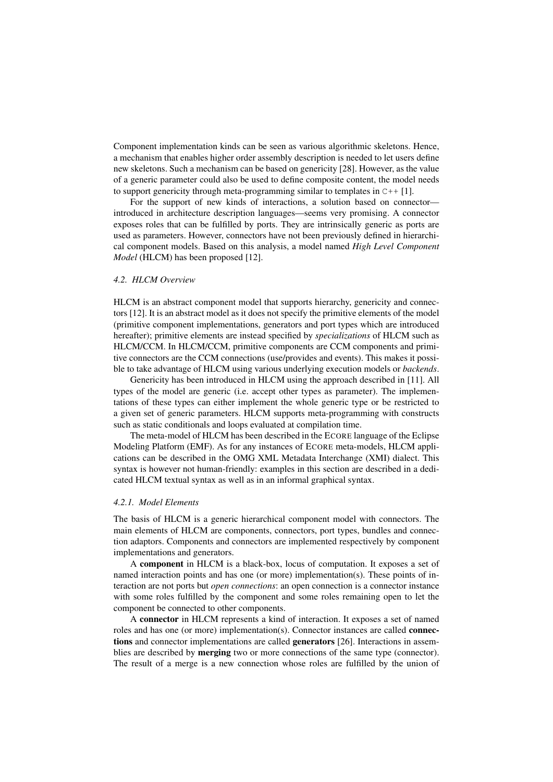Component implementation kinds can be seen as various algorithmic skeletons. Hence, a mechanism that enables higher order assembly description is needed to let users define new skeletons. Such a mechanism can be based on genericity [28]. However, as the value of a generic parameter could also be used to define composite content, the model needs to support genericity through meta-programming similar to templates in  $C++[1]$ .

For the support of new kinds of interactions, a solution based on connector introduced in architecture description languages—seems very promising. A connector exposes roles that can be fulfilled by ports. They are intrinsically generic as ports are used as parameters. However, connectors have not been previously defined in hierarchical component models. Based on this analysis, a model named *High Level Component Model* (HLCM) has been proposed [12].

## *4.2. HLCM Overview*

HLCM is an abstract component model that supports hierarchy, genericity and connectors [12]. It is an abstract model as it does not specify the primitive elements of the model (primitive component implementations, generators and port types which are introduced hereafter); primitive elements are instead specified by *specializations* of HLCM such as HLCM/CCM. In HLCM/CCM, primitive components are CCM components and primitive connectors are the CCM connections (use/provides and events). This makes it possible to take advantage of HLCM using various underlying execution models or *backends*.

Genericity has been introduced in HLCM using the approach described in [11]. All types of the model are generic (i.e. accept other types as parameter). The implementations of these types can either implement the whole generic type or be restricted to a given set of generic parameters. HLCM supports meta-programming with constructs such as static conditionals and loops evaluated at compilation time.

The meta-model of HLCM has been described in the ECORE language of the Eclipse Modeling Platform (EMF). As for any instances of ECORE meta-models, HLCM applications can be described in the OMG XML Metadata Interchange (XMI) dialect. This syntax is however not human-friendly: examples in this section are described in a dedicated HLCM textual syntax as well as in an informal graphical syntax.

## *4.2.1. Model Elements*

The basis of HLCM is a generic hierarchical component model with connectors. The main elements of HLCM are components, connectors, port types, bundles and connection adaptors. Components and connectors are implemented respectively by component implementations and generators.

A component in HLCM is a black-box, locus of computation. It exposes a set of named interaction points and has one (or more) implementation(s). These points of interaction are not ports but *open connections*: an open connection is a connector instance with some roles fulfilled by the component and some roles remaining open to let the component be connected to other components.

A connector in HLCM represents a kind of interaction. It exposes a set of named roles and has one (or more) implementation(s). Connector instances are called **connec**tions and connector implementations are called generators [26]. Interactions in assemblies are described by merging two or more connections of the same type (connector). The result of a merge is a new connection whose roles are fulfilled by the union of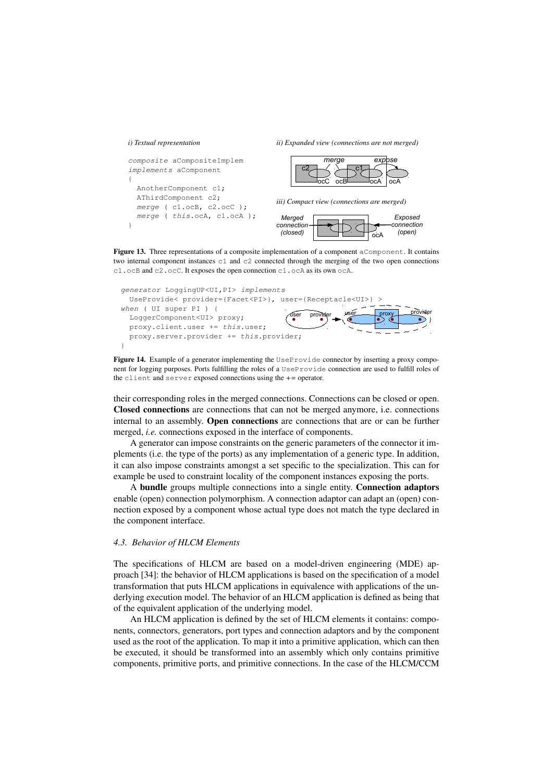#### *i) Textual representation*

{

}

*ii) Expanded view (connections are not merged)*





*iii) Compact view (connections are merged)*



Figure 13. Three representations of a composite implementation of a component aComponent. It contains two internal component instances  $c1$  and  $c2$  connected through the merging of the two open connections c1.ocB and c2.ocC. It exposes the open connection c1.ocA as its own ocA.



Figure 14. Example of a generator implementing the UseProvide connector by inserting a proxy component for logging purposes. Ports fulfilling the roles of a UseProvide connection are used to fulfill roles of the client and server exposed connections using the *+=* operator.

their corresponding roles in the merged connections. Connections can be closed or open. Closed connections are connections that can not be merged anymore, i.e. connections internal to an assembly. Open connections are connections that are or can be further merged, *i.e.* connections exposed in the interface of components.

A generator can impose constraints on the generic parameters of the connector it implements (i.e. the type of the ports) as any implementation of a generic type. In addition, it can also impose constraints amongst a set specific to the specialization. This can for example be used to constraint locality of the component instances exposing the ports.

A bundle groups multiple connections into a single entity. Connection adaptors enable (open) connection polymorphism. A connection adaptor can adapt an (open) connection exposed by a component whose actual type does not match the type declared in the component interface.

## *4.3. Behavior of HLCM Elements*

The specifications of HLCM are based on a model-driven engineering (MDE) approach [34]: the behavior of HLCM applications is based on the specification of a model transformation that puts HLCM applications in equivalence with applications of the underlying execution model. The behavior of an HLCM application is defined as being that of the equivalent application of the underlying model.

An HLCM application is defined by the set of HLCM elements it contains: components, connectors, generators, port types and connection adaptors and by the component used as the root of the application. To map it into a primitive application, which can then be executed, it should be transformed into an assembly which only contains primitive components, primitive ports, and primitive connections. In the case of the HLCM/CCM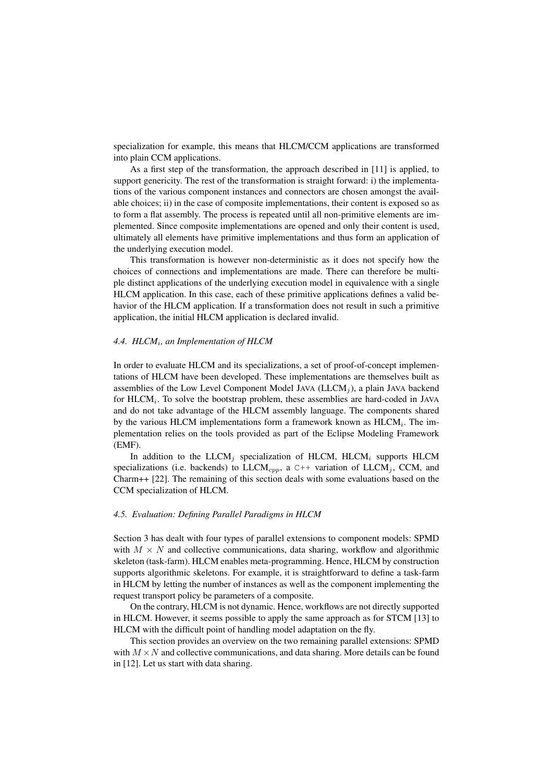specialization for example, this means that HLCM/CCM applications are transformed into plain CCM applications.

As a first step of the transformation, the approach described in [11] is applied, to support genericity. The rest of the transformation is straight forward: i) the implementations of the various component instances and connectors are chosen amongst the available choices; ii) in the case of composite implementations, their content is exposed so as to form a flat assembly. The process is repeated until all non-primitive elements are implemented. Since composite implementations are opened and only their content is used, ultimately all elements have primitive implementations and thus form an application of the underlying execution model.

This transformation is however non-deterministic as it does not specify how the choices of connections and implementations are made. There can therefore be multiple distinct applications of the underlying execution model in equivalence with a single HLCM application. In this case, each of these primitive applications defines a valid behavior of the HLCM application. If a transformation does not result in such a primitive application, the initial HLCM application is declared invalid.

## *4.4. HLCM*<sup>i</sup> *, an Implementation of HLCM*

In order to evaluate HLCM and its specializations, a set of proof-of-concept implementations of HLCM have been developed. These implementations are themselves built as assemblies of the Low Level Component Model JAVA ( $LLCM<sub>j</sub>$ ), a plain JAVA backend for  $HLCM<sub>i</sub>$ . To solve the bootstrap problem, these assemblies are hard-coded in JAVA and do not take advantage of the HLCM assembly language. The components shared by the various HLCM implementations form a framework known as  $HLCM<sub>i</sub>$ . The implementation relies on the tools provided as part of the Eclipse Modeling Framework (EMF).

In addition to the  $LLCM$ <sub>i</sub> specialization of HLCM, HLCM<sub>i</sub> supports HLCM specializations (i.e. backends) to  $LLCM_{cpp}$ , a C++ variation of  $LLCM$ <sub>j</sub>, CCM, and Charm++ [22]. The remaining of this section deals with some evaluations based on the CCM specialization of HLCM.

## *4.5. Evaluation: Defining Parallel Paradigms in HLCM*

Section 3 has dealt with four types of parallel extensions to component models: SPMD with  $M \times N$  and collective communications, data sharing, workflow and algorithmic skeleton (task-farm). HLCM enables meta-programming. Hence, HLCM by construction supports algorithmic skeletons. For example, it is straightforward to define a task-farm in HLCM by letting the number of instances as well as the component implementing the request transport policy be parameters of a composite.

On the contrary, HLCM is not dynamic. Hence, workflows are not directly supported in HLCM. However, it seems possible to apply the same approach as for STCM [13] to HLCM with the difficult point of handling model adaptation on the fly.

This section provides an overview on the two remaining parallel extensions: SPMD with  $M \times N$  and collective communications, and data sharing. More details can be found in [12]. Let us start with data sharing.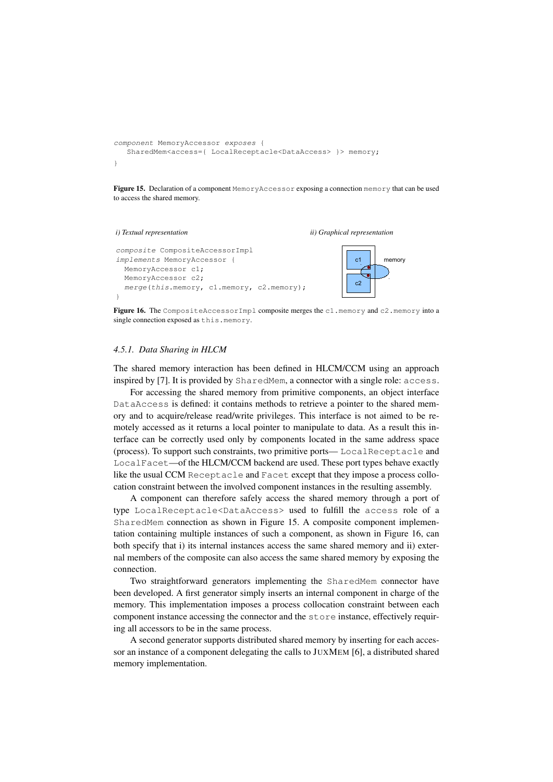```
component MemoryAccessor exposes {
   SharedMem<access={ LocalReceptacle<DataAccess> }> memory;
\left\{ \right.
```
Figure 15. Declaration of a component MemoryAccessor exposing a connection memory that can be used to access the shared memory.

#### *i) Textual representation*

*ii) Graphical representation*

```
composite CompositeAccessorImpl
implements MemoryAccessor {
 MemoryAccessor c1;
 MemoryAccessor c2;
 merge(this.memory, c1.memory, c2.memory);
}
```


Figure 16. The CompositeAccessorImpl composite merges the c1.memory and c2.memory into a single connection exposed as this.memory.

## *4.5.1. Data Sharing in HLCM*

The shared memory interaction has been defined in HLCM/CCM using an approach inspired by [7]. It is provided by SharedMem, a connector with a single role: access.

For accessing the shared memory from primitive components, an object interface DataAccess is defined: it contains methods to retrieve a pointer to the shared memory and to acquire/release read/write privileges. This interface is not aimed to be remotely accessed as it returns a local pointer to manipulate to data. As a result this interface can be correctly used only by components located in the same address space (process). To support such constraints, two primitive ports— LocalReceptacle and LocalFacet—of the HLCM/CCM backend are used. These port types behave exactly like the usual CCM Receptacle and Facet except that they impose a process collocation constraint between the involved component instances in the resulting assembly.

A component can therefore safely access the shared memory through a port of type LocalReceptacle<DataAccess> used to fulfill the access role of a SharedMem connection as shown in Figure 15. A composite component implementation containing multiple instances of such a component, as shown in Figure 16, can both specify that i) its internal instances access the same shared memory and ii) external members of the composite can also access the same shared memory by exposing the connection.

Two straightforward generators implementing the SharedMem connector have been developed. A first generator simply inserts an internal component in charge of the memory. This implementation imposes a process collocation constraint between each component instance accessing the connector and the store instance, effectively requiring all accessors to be in the same process.

A second generator supports distributed shared memory by inserting for each accessor an instance of a component delegating the calls to JUXMEM [6], a distributed shared memory implementation.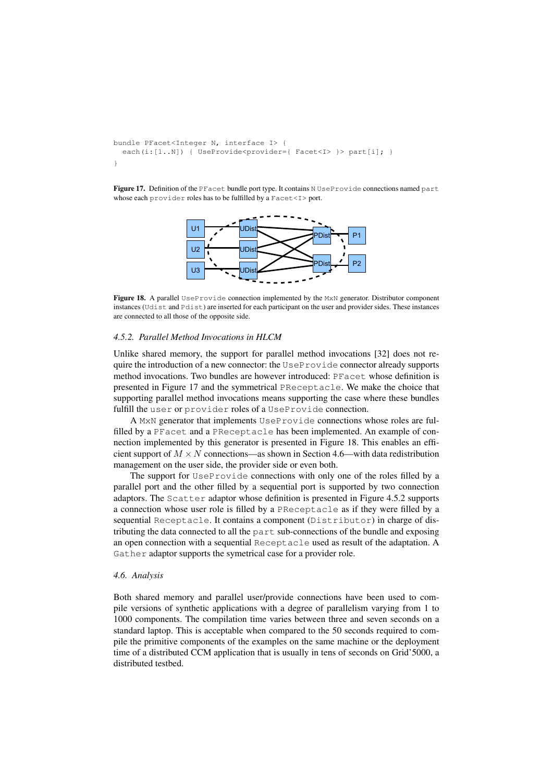```
bundle PFacet<Integer N, interface I> {
  each(i:[1..N]) { UseProvide<provider={ Facet<I> }> part[i]; }
}
```
Figure 17. Definition of the PFacet bundle port type. It contains N UseProvide connections named part whose each provider roles has to be fulfilled by a Facet<I>port.



Figure 18. A parallel UseProvide connection implemented by the MxN generator. Distributor component instances (Udist and Pdist) are inserted for each participant on the user and provider sides. These instances are connected to all those of the opposite side.

#### *4.5.2. Parallel Method Invocations in HLCM*

Unlike shared memory, the support for parallel method invocations [32] does not require the introduction of a new connector: the  $UseProville$  connector already supports method invocations. Two bundles are however introduced: PFacet whose definition is presented in Figure 17 and the symmetrical PReceptacle. We make the choice that supporting parallel method invocations means supporting the case where these bundles fulfill the user or provider roles of a UseProvide connection.

A MxN generator that implements UseProvide connections whose roles are fulfilled by a PFacet and a PReceptacle has been implemented. An example of connection implemented by this generator is presented in Figure 18. This enables an efficient support of  $M \times N$  connections—as shown in Section 4.6—with data redistribution management on the user side, the provider side or even both.

The support for UseProvide connections with only one of the roles filled by a parallel port and the other filled by a sequential port is supported by two connection adaptors. The Scatter adaptor whose definition is presented in Figure 4.5.2 supports a connection whose user role is filled by a PReceptacle as if they were filled by a sequential Receptacle. It contains a component (Distributor) in charge of distributing the data connected to all the part sub-connections of the bundle and exposing an open connection with a sequential Receptacle used as result of the adaptation. A Gather adaptor supports the symetrical case for a provider role.

## *4.6. Analysis*

Both shared memory and parallel user/provide connections have been used to compile versions of synthetic applications with a degree of parallelism varying from 1 to 1000 components. The compilation time varies between three and seven seconds on a standard laptop. This is acceptable when compared to the 50 seconds required to compile the primitive components of the examples on the same machine or the deployment time of a distributed CCM application that is usually in tens of seconds on Grid'5000, a distributed testbed.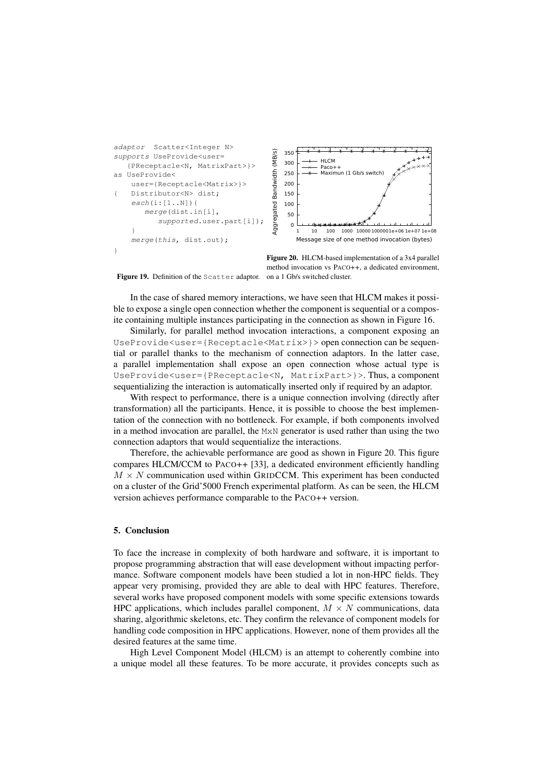

Figure 20. HLCM-based implementation of a 3x4 parallel method invocation vs PACO++, a dedicated environment,

Figure 19. Definition of the Scatter adaptor. on a 1 Gb/s switched cluster.

In the case of shared memory interactions, we have seen that HLCM makes it possible to expose a single open connection whether the component is sequential or a composite containing multiple instances participating in the connection as shown in Figure 16.

Similarly, for parallel method invocation interactions, a component exposing an UseProvide<user={Receptacle<Matrix>}> open connection can be sequential or parallel thanks to the mechanism of connection adaptors. In the latter case, a parallel implementation shall expose an open connection whose actual type is UseProvide<user={PReceptacle<N, MatrixPart>}>. Thus, a component sequentializing the interaction is automatically inserted only if required by an adaptor.

With respect to performance, there is a unique connection involving (directly after transformation) all the participants. Hence, it is possible to choose the best implementation of the connection with no bottleneck. For example, if both components involved in a method invocation are parallel, the MxN generator is used rather than using the two connection adaptors that would sequentialize the interactions.

Therefore, the achievable performance are good as shown in Figure 20. This figure compares HLCM/CCM to PACO++ [33], a dedicated environment efficiently handling  $M \times N$  communication used within GRIDCCM. This experiment has been conducted on a cluster of the Grid'5000 French experimental platform. As can be seen, the HLCM version achieves performance comparable to the PACO++ version.

## 5. Conclusion

To face the increase in complexity of both hardware and software, it is important to propose programming abstraction that will ease development without impacting performance. Software component models have been studied a lot in non-HPC fields. They appear very promising, provided they are able to deal with HPC features. Therefore, several works have proposed component models with some specific extensions towards HPC applications, which includes parallel component,  $M \times N$  communications, data sharing, algorithmic skeletons, etc. They confirm the relevance of component models for handling code composition in HPC applications. However, none of them provides all the desired features at the same time.

High Level Component Model (HLCM) is an attempt to coherently combine into a unique model all these features. To be more accurate, it provides concepts such as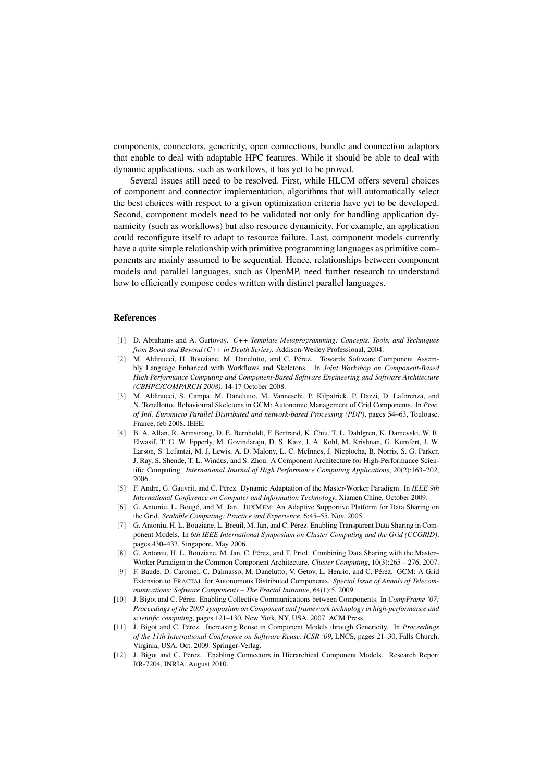components, connectors, genericity, open connections, bundle and connection adaptors that enable to deal with adaptable HPC features. While it should be able to deal with dynamic applications, such as workflows, it has yet to be proved.

Several issues still need to be resolved. First, while HLCM offers several choices of component and connector implementation, algorithms that will automatically select the best choices with respect to a given optimization criteria have yet to be developed. Second, component models need to be validated not only for handling application dynamicity (such as workflows) but also resource dynamicity. For example, an application could reconfigure itself to adapt to resource failure. Last, component models currently have a quite simple relationship with primitive programming languages as primitive components are mainly assumed to be sequential. Hence, relationships between component models and parallel languages, such as OpenMP, need further research to understand how to efficiently compose codes written with distinct parallel languages.

#### References

- [1] D. Abrahams and A. Gurtovoy. *C++ Template Metaprogramming: Concepts, Tools, and Techniques from Boost and Beyond (C++ in Depth Series)*. Addison-Wesley Professional, 2004.
- [2] M. Aldinucci, H. Bouziane, M. Danelutto, and C. Pérez. Towards Software Component Assembly Language Enhanced with Workflows and Skeletons. In *Joint Workshop on Component-Based High Performance Computing and Component-Based Software Engineering and Software Architecture (CBHPC/COMPARCH 2008)*, 14-17 October 2008.
- [3] M. Aldinucci, S. Campa, M. Danelutto, M. Vanneschi, P. Kilpatrick, P. Dazzi, D. Laforenza, and N. Tonellotto. Behavioural Skeletons in GCM: Autonomic Management of Grid Components. In *Proc. of Intl. Euromicro Parallel Distributed and network-based Processing (PDP)*, pages 54–63, Toulouse, France, feb 2008. IEEE.
- [4] B. A. Allan, R. Armstrong, D. E. Bernholdt, F. Bertrand, K. Chiu, T. L. Dahlgren, K. Damevski, W. R. Elwasif, T. G. W. Epperly, M. Govindaraju, D. S. Katz, J. A. Kohl, M. Krishnan, G. Kumfert, J. W. Larson, S. Lefantzi, M. J. Lewis, A. D. Malony, L. C. McInnes, J. Nieplocha, B. Norris, S. G. Parker, J. Ray, S. Shende, T. L. Windus, and S. Zhou. A Component Architecture for High-Performance Scientific Computing. *International Journal of High Performance Computing Applications*, 20(2):163–202, 2006.
- [5] F. André, G. Gauvrit, and C. Pérez. Dynamic Adaptation of the Master-Worker Paradigm. In *IEEE 9th International Conference on Computer and Information Technology*, Xiamen Chine, October 2009.
- [6] G. Antoniu, L. Bougé, and M. Jan. JUXMEM: An Adaptive Supportive Platform for Data Sharing on the Grid. *Scalable Computing: Practice and Experience*, 6:45–55, Nov. 2005.
- [7] G. Antoniu, H. L. Bouziane, L. Breuil, M. Jan, and C. Pérez. Enabling Transparent Data Sharing in Component Models. In *6th IEEE International Symposium on Cluster Computing and the Grid (CCGRID)*, pages 430–433, Singapore, May 2006.
- [8] G. Antoniu, H. L. Bouziane, M. Jan, C. Pérez, and T. Priol. Combining Data Sharing with the Master– Worker Paradigm in the Common Component Architecture. *Cluster Computing*, 10(3):265 – 276, 2007.
- [9] F. Baude, D. Caromel, C. Dalmasso, M. Danelutto, V. Getov, L. Henrio, and C. Pérez. GCM: A Grid Extension to FRACTAL for Autonomous Distributed Components. *Special Issue of Annals of Telecommunications: Software Components – The Fractal Initiative*, 64(1):5, 2009.
- [10] J. Bigot and C. Pérez. Enabling Collective Communications between Components. In *CompFrame '07: Proceedings of the 2007 symposium on Component and framework technology in high-performance and scientific computing*, pages 121–130, New York, NY, USA, 2007. ACM Press.
- [11] J. Bigot and C. Pérez. Increasing Reuse in Component Models through Genericity. In *Proceedings of the 11th International Conference on Software Reuse, ICSR '09*, LNCS, pages 21–30, Falls Church, Virginia, USA, Oct. 2009. Springer-Verlag.
- [12] J. Bigot and C. Pérez. Enabling Connectors in Hierarchical Component Models. Research Report RR-7204, INRIA, August 2010.